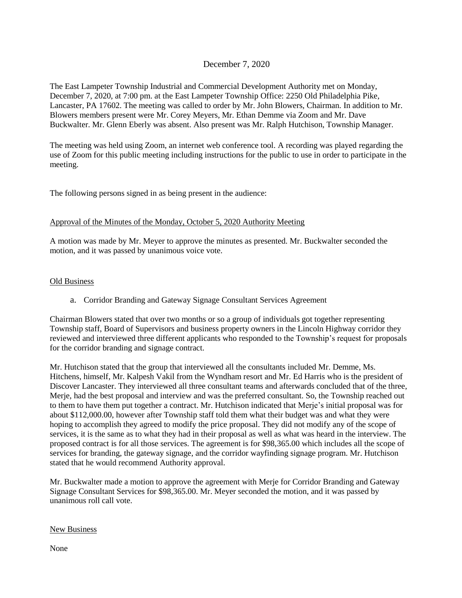# December 7, 2020

The East Lampeter Township Industrial and Commercial Development Authority met on Monday, December 7, 2020, at 7:00 pm. at the East Lampeter Township Office: 2250 Old Philadelphia Pike, Lancaster, PA 17602. The meeting was called to order by Mr. John Blowers, Chairman. In addition to Mr. Blowers members present were Mr. Corey Meyers, Mr. Ethan Demme via Zoom and Mr. Dave Buckwalter. Mr. Glenn Eberly was absent. Also present was Mr. Ralph Hutchison, Township Manager.

The meeting was held using Zoom, an internet web conference tool. A recording was played regarding the use of Zoom for this public meeting including instructions for the public to use in order to participate in the meeting.

The following persons signed in as being present in the audience:

### Approval of the Minutes of the Monday, October 5, 2020 Authority Meeting

A motion was made by Mr. Meyer to approve the minutes as presented. Mr. Buckwalter seconded the motion, and it was passed by unanimous voice vote.

#### Old Business

a. Corridor Branding and Gateway Signage Consultant Services Agreement

Chairman Blowers stated that over two months or so a group of individuals got together representing Township staff, Board of Supervisors and business property owners in the Lincoln Highway corridor they reviewed and interviewed three different applicants who responded to the Township's request for proposals for the corridor branding and signage contract.

Mr. Hutchison stated that the group that interviewed all the consultants included Mr. Demme, Ms. Hitchens, himself, Mr. Kalpesh Vakil from the Wyndham resort and Mr. Ed Harris who is the president of Discover Lancaster. They interviewed all three consultant teams and afterwards concluded that of the three, Merje, had the best proposal and interview and was the preferred consultant. So, the Township reached out to them to have them put together a contract. Mr. Hutchison indicated that Merje's initial proposal was for about \$112,000.00, however after Township staff told them what their budget was and what they were hoping to accomplish they agreed to modify the price proposal. They did not modify any of the scope of services, it is the same as to what they had in their proposal as well as what was heard in the interview. The proposed contract is for all those services. The agreement is for \$98,365.00 which includes all the scope of services for branding, the gateway signage, and the corridor wayfinding signage program. Mr. Hutchison stated that he would recommend Authority approval.

Mr. Buckwalter made a motion to approve the agreement with Merje for Corridor Branding and Gateway Signage Consultant Services for \$98,365.00. Mr. Meyer seconded the motion, and it was passed by unanimous roll call vote.

#### New Business

None